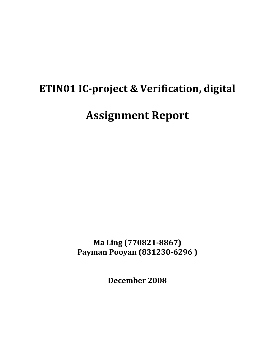# **ETIN01 IC-project & Verification, digital Assignment Report**

**Ma Ling (770821-8867) Payman Pooyan (831230-6296 )**

**December 2008**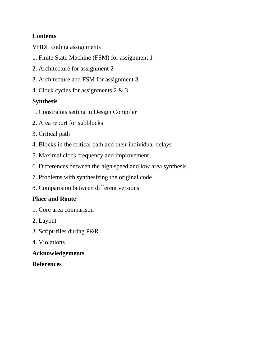# **Contents**

VHDL coding assignments

- 1. Finite State Machine (FSM) for assignment 1
- 2. Architecture for assignment 2
- 3. Architecture and FSM for assignment 3
- 4. Clock cycles for assignments 2 & 3

## **Synthesis**

- 1. Constraints setting in Design Compiler
- 2. Area report for subblocks
- 3. Critical path
- 4. Blocks in the critical path and their individual delays
- 5. Maximal clock frequency and improvement
- 6. Differences between the high speed and low area synthesis
- 7. Problems with synthesizing the original code
- 8. Comparision between different versions

### **Place and Route**

- 1. Core area comparison
- 2. Layout
- 3. Script-files during P&R
- 4. Violations

### **Acknowledgements**

### **References**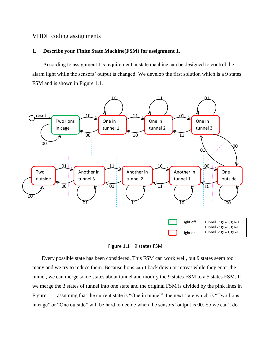### VHDL coding assignments

#### **1. Describe your Finite State Machine(FSM) for assignment 1.**

 According to assignment 1"s requirement, a state machine can be designed to control the alarm light while the sensors" output is changed. We develop the first solution which is a 9 states FSM and is shown in Figure 1.1.



Figure 1.1 9 states FSM

 Every possible state has been considered. This FSM can work well, but 9 states seem too many and we try to reduce them. Because lions can"t back down or retreat while they enter the tunnel, we can merge some states about tunnel and modify the 9 states FSM to a 5 states FSM. If we merge the 3 states of tunnel into one state and the original FSM is divided by the pink lines in Figure 1.1, assuming that the current state is "One in tunnel", the next state which is "Two lions in cage" or "One outside" will be hard to decide when the sensors' output is 00. So we can't do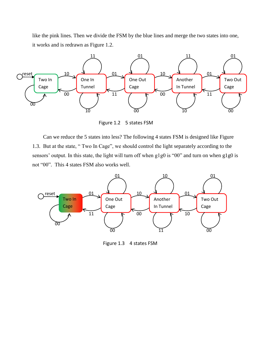like the pink lines. Then we divide the FSM by the blue lines and merge the two states into one, it works and is redrawn as Figure 1.2.



Figure 1.2 5 states FSM

 Can we reduce the 5 states into less? The following 4 states FSM is designed like Figure 1.3. But at the state, " Two In Cage", we should control the light separately according to the sensors' output. In this state, the light will turn off when g1g0 is "00" and turn on when g1g0 is not "00". This 4 states FSM also works well.



Figure 1.3 4 states FSM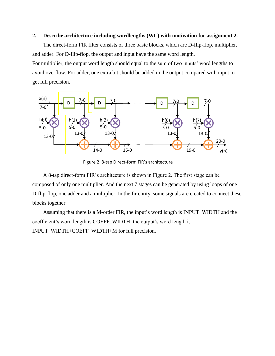### **2. Describe architecture including wordlengths (WL) with motivation for assignment 2.**

 The direct-form FIR filter consists of three basic blocks, which are D-flip-flop, multiplier, and adder. For D-flip-flop, the output and input have the same word length.

For multiplier, the output word length should equal to the sum of two inputs' word lengths to avoid overflow. For adder, one extra bit should be added in the output compared with input to get full precision.



Figure 2 8-tap Direct-form FIR's architecture

 A 8-tap direct-form FIR"s architecture is shown in Figure 2. The first stage can be composed of only one multiplier. And the next 7 stages can be generated by using loops of one D-flip-flop, one adder and a multiplier. In the fir entity, some signals are created to connect these blocks together.

Assuming that there is a M-order FIR, the input's word length is INPUT\_WIDTH and the coefficient's word length is COEFF\_WIDTH, the output's word length is INPUT\_WIDTH+COEFF\_WIDTH+M for full precision.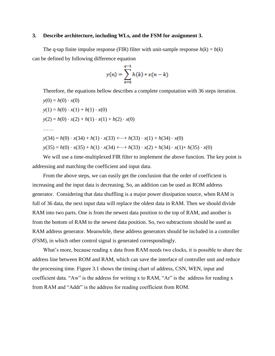#### **3. Describe architecture, including WLs, and the FSM for assignment 3.**

The q-tap finite impulse response (FIR) filter with unit-sample response  $h(k) = b(k)$ can be defined by following difference equation

$$
y(n) = \sum_{k=0}^{q-1} h(k) * x(n-k)
$$

Therefore, the equations bellow describes a complete computation with 36 steps iteration.

 $y(0) = h(0) \cdot x(0)$  $y(1) = h(0) \cdot x(1) + h(1) \cdot x(0)$  $y(2) = h(0) \cdot x(2) + h(1) \cdot x(1) + h(2) \cdot x(0)$  ……  $y(34) = h(0) \cdot x(34) + h(1) \cdot x(33) + \cdots + h(33) \cdot x(1) + h(34) \cdot x(0)$  $y(35) = h(0) \cdot x(35) + h(1) \cdot x(34) + \cdots + h(33) \cdot x(2) + h(34) \cdot x(1) + h(35) \cdot x(0)$ 

 We will use a time-multiplexed FIR filter to implement the above function. The key point is addressing and matching the coefficient and input data.

 From the above steps, we can easily get the conclusion that the order of coefficient is increasing and the input data is decreasing. So, an addition can be used as ROM address generator. Considering that data shuffling is a major power dissipation source, when RAM is full of 36 data, the next input data will replace the oldest data in RAM. Then we should divide RAM into two parts. One is from the newest data position to the top of RAM, and another is from the bottom of RAM to the newest data position. So, two subtractions should be used as RAM address generator. Meanwhile, these address generators should be included in a controller (FSM), in which other control signal is generated correspondingly.

What's more, because reading x data from RAM needs two clocks, it is possible to share the address line between ROM and RAM, which can save the interface of controller unit and reduce the processing time. Figure 3.1 shows the timing chart of address, CSN, WEN, input and coefficient data. "Aw" is the address for writing x to RAM, "Ar" is the address for reading x from RAM and "Addr" is the address for reading coefficient from ROM.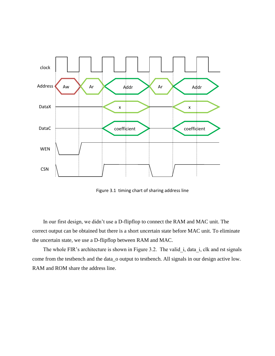

Figure 3.1 timing chart of sharing address line

 In our first design, we didn"t use a D-flipflop to connect the RAM and MAC unit. The correct output can be obtained but there is a short uncertain state before MAC unit. To eliminate the uncertain state, we use a D-flipflop between RAM and MAC.

The whole FIR's architecture is shown in Figure 3.2. The valid i, data i, clk and rst signals come from the testbench and the data\_o output to testbench. All signals in our design active low. RAM and ROM share the address line.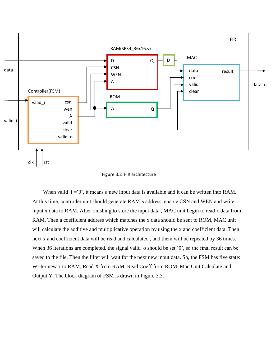



When valid  $i = 0$ , it means a new input data is available and it can be written into RAM. At this time, controller unit should generate RAM"s address, enable CSN and WEN and write input x data to RAM. After finishing to store the input data , MAC unit begin to read x data from RAM. Then a coefficient address which matches the x data should be sent to ROM, MAC unit will calculate the additive and multiplicative operation by using the x and coefficient data. Then next x and coefficient data will be read and calculated , and them will be repeated by 36 times. When 36 iterations are completed, the signal valid  $\sim$  should be set '0', so the final result can be saved to the file. Then the filter will wait for the next new input data. So, the FSM has five state: Writer new x to RAM, Read X from RAM, Read Coeff from ROM, Mac Unit Calculate and Output Y. The block diagram of FSM is drawn in Figure 3.3.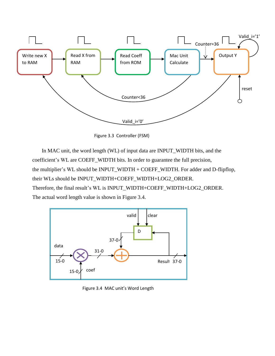

Figure 3.3 Controller (FSM)

 In MAC unit, the word length (WL) of input data are INPUT\_WIDTH bits, and the coefficient's WL are COEFF\_WIDTH bits. In order to guarantee the full precision, the multiplier's WL should be INPUT\_WIDTH + COEFF\_WIDTH. For adder and D-flipflop, their WLs should be INPUT\_WIDTH+COEFF\_WIDTH+LOG2\_ORDER. Therefore, the final result"s WL is INPUT\_WIDTH+COEFF\_WIDTH+LOG2\_ORDER. The actual word length value is shown in Figure 3.4.



Figure 3.4 MAC unit's Word Length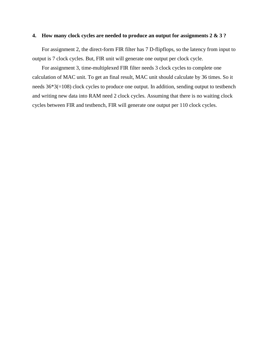### **4. How many clock cycles are needed to produce an output for assignments 2 & 3 ?**

 For assignment 2, the direct-form FIR filter has 7 D-flipflops, so the latency from input to output is 7 clock cycles. But, FIR unit will generate one output per clock cycle.

 For assignment 3, time-multiplexed FIR filter needs 3 clock cycles to complete one calculation of MAC unit. To get an final result, MAC unit should calculate by 36 times. So it needs 36\*3(=108) clock cycles to produce one output. In addition, sending output to testbench and writing new data into RAM need 2 clock cycles. Assuming that there is no waiting clock cycles between FIR and testbench, FIR will generate one output per 110 clock cycles.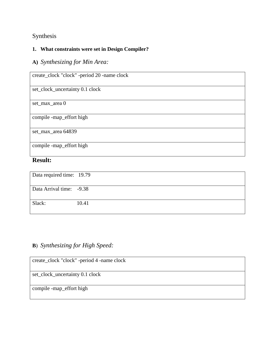# Synthesis

### **1. What constraints were set in Design Compiler?**

# **A)** *Synthesizing for Min Area:*

| create_clock "clock" -period 20 -name clock |
|---------------------------------------------|
| set_clock_uncertainty 0.1 clock             |
| set_max_area 0                              |
| compile -map_effort high                    |
| set_max_area 64839                          |
| compile -map_effort high                    |

### **Result:**

| Data required time: 19.79 |       |
|---------------------------|-------|
|                           |       |
| Data Arrival time: -9.38  |       |
|                           |       |
| Slack:                    | 10.41 |
|                           |       |

# **B**) *Synthesizing for High Speed:*

| create_clock "clock" -period 4 -name clock |
|--------------------------------------------|
| set_clock_uncertainty 0.1 clock            |
| compile -map_effort high                   |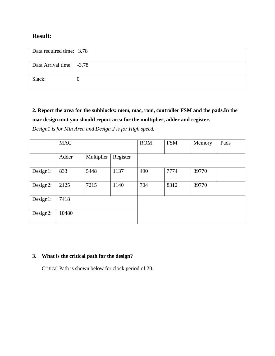### **Result:**

| Data required time: 3.78 |  |
|--------------------------|--|
|                          |  |
| Data Arrival time: -3.78 |  |
|                          |  |
| Slack:                   |  |
|                          |  |

**2. Report the area for the subblocks: mem, mac, rom, controller FSM and the pads.In the mac design unit you should report area for the multiplier, adder and register.**

*Design1 is for Min Area and Design 2 is for High speed.*

|           | <b>MAC</b> |            |          | <b>ROM</b> | <b>FSM</b> | Memory | Pads |
|-----------|------------|------------|----------|------------|------------|--------|------|
|           |            |            |          |            |            |        |      |
|           | Adder      | Multiplier | Register |            |            |        |      |
|           |            |            |          |            |            |        |      |
| Design 1: | 833        | 5448       | 1137     | 490        | 7774       | 39770  |      |
|           |            |            |          |            |            |        |      |
| Design2:  | 2125       | 7215       | 1140     | 704        | 8312       | 39770  |      |
|           |            |            |          |            |            |        |      |
| Design1:  | 7418       |            |          |            |            |        |      |
|           |            |            |          |            |            |        |      |
| Design2:  | 10480      |            |          |            |            |        |      |
|           |            |            |          |            |            |        |      |

### **3. What is the critical path for the design?**

Critical Path is shown below for clock period of 20.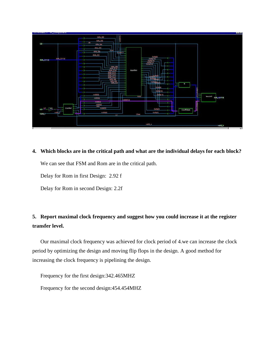

**4. Which blocks are in the critical path and what are the individual delays for each block?** We can see that FSM and Rom are in the critical path.

Delay for Rom in first Design: 2.92 f

Delay for Rom in second Design: 2.2f

# **5. Report maximal clock frequency and suggest how you could increase it at the register transfer level.**

 Our maximal clock frequency was achieved for clock period of 4.we can increase the clock period by optimizing the design and moving flip flops in the design. A good method for increasing the clock frequency is pipelining the design.

Frequency for the first design:342.465MHZ

Frequency for the second design:454.454MHZ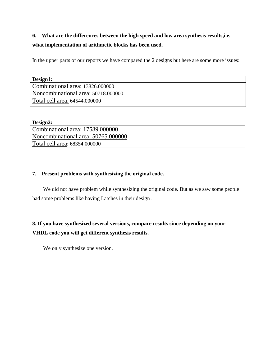# **6. What are the differences between the high speed and low area synthesis results,i.e. what implementation of arithmetic blocks has been used.**

In the upper parts of our reports we have compared the 2 designs but here are some more issues:

| Design1:                            |
|-------------------------------------|
| Combinational area: 13826.000000    |
| Noncombinational area: 50718.000000 |
| Total cell area: 64544.000000       |

| Design2:                            |
|-------------------------------------|
| Combinational area: 17589.000000    |
| Noncombinational area: 50765.000000 |
| Total cell area: 68354.000000       |

### **7. Present problems with synthesizing the original code.**

 We did not have problem while synthesizing the original code. But as we saw some people had some problems like having Latches in their design .

# **8. If you have synthesized several versions, compare results since depending on your VHDL code you will get different synthesis results.**

We only synthesize one version.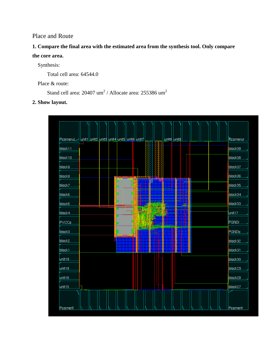### Place and Route

# **1. Compare the final area with the estimated area from the synthesis tool. Only compare the core area.**

Synthesis:

Total cell area: 64544.0

Place & route:

Stand cell area:  $20407 \text{ um}^2$  / Allocate area:  $255386 \text{ um}^2$ 

**2. Show layout.**

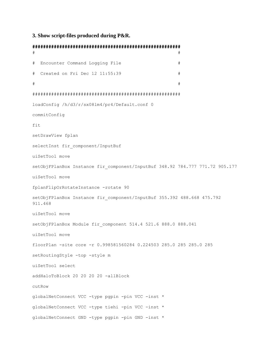#### **3. Show script-files produced during P&R.**

```
#######################################################
\## Encounter Command Logging File #
# Created on Fri Dec 12 11:55:39 #
\########################################################
loadConfig /h/d3/r/sx08lm4/pr4/Default.conf 0
commitConfig
fit
setDrawView fplan
selectInst fir component/InputBuf
uiSetTool move
setObjFPlanBox Instance fir_component/InputBuf 348.92 784.777 771.72 905.177
uiSetTool move
fplanFlipOrRotateInstance -rotate 90
setObjFPlanBox Instance fir_component/InputBuf 355.392 488.668 475.792 
911.468
uiSetTool move
setObjFPlanBox Module fir component 514.4 521.6 888.0 888.041
uiSetTool move
floorPlan -site core -r 0.998581560284 0.224503 285.0 285 285.0 285
setRoutingStyle -top -style m
uiSetTool select
addHaloToBlock 20 20 20 20 -allBlock
cutRow
globalNetConnect VCC -type pgpin -pin VCC -inst *
globalNetConnect VCC -type tiehi -pin VCC -inst *
globalNetConnect GND -type pgpin -pin GND -inst *
```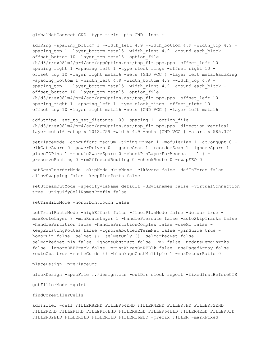globalNetConnect GND -type tielo -pin GND -inst \*

addRing -spacing bottom 1 -width left 4.9 -width bottom 4.9 -width top 4.9 spacing top 1 -layer bottom metal5 -width right 4.9 -around each block offset bottom 10 -layer top metal5 -option file /h/d3/r/sx08lm4/pr4/soc/appOption.dat/top\_fir.ppo.ppo -offset\_left 10 spacing right 1 -spacing left 1 -type block rings -offset right 10 offset top 10 -layer right metal6 -nets {GND VCC } -layer left metal6addRing -spacing bottom 1 -width left 4.9 -width bottom 4.9 -width top 4.9 spacing top 1 -layer bottom metal5 -width right 4.9 -around each block offset bottom 10 -layer top metal5 -option file /h/d3/r/sx08lm4/pr4/soc/appOption.dat/top\_fir.ppo.ppo -offset\_left 10 spacing right 1 -spacing left 1 -type block rings -offset right 10 offset top 10 -layer right metal6 -nets {GND VCC } -layer left metal6

addStripe -set to set distance 100 -spacing 1 -option file /h/d3/r/sx08lm4/pr4/soc/appOption.dat/top\_fir.ppo.ppo -direction vertical layer metal6 -stop x 1012.759 -width 4.9 -nets {GND VCC } -start x 585.374

setPlaceMode -congEffort medium -timingDriven 1 -modulePlan 1 -doCongOpt 0 clkGateAware 0 -powerDriven 0 -ignoreScan 1 -reorderScan 1 -ignoreSpare 1 placeIOPins 1 -moduleAwareSpare 0 -checkPinLayerForAccess { 1 } preserveRouting 0 -rmAffectedRouting 0 -checkRoute 0 -swapEEQ 0

setScanReorderMode -skipMode skipNone -clkAware false -defInForce false allowSwapping false -keepHierPorts false

setStreamOutMode -specifyViaName default -SEvianames false -virtualConnection true -uniquifyCellNamesPrefix false

setTieHiLoMode -honorDontTouch false

setTrialRouteMode -highEffort false -floorPlanMode false -detour true maxRouteLayer 8 -minRouteLayer 1 -handlePreroute false -autoSkipTracks false -handlePartition false -handlePartitionComplex false -useM1 false keepExistingRoutes false -ignoreAbutted2TermNet false -pinGuide true honorPin false -selNet {} -selNetOnly {} -selMarkedNet false selMarkedNetOnly false -ignoreObstruct false -PKS false -updateRemainTrks false -ignoreDEFTrack false -printWiresOnRTBlk false -usePagedArray false routeObs true -routeGuide {} -blockageCostMultiple 1 -maxDetourRatio 0

placeDesign -prePlaceOpt

clockDesign -specFile ../design.cts -outDir clock\_report -fixedInstBeforeCTS

getFillerMode -quiet

findCoreFillerCells

addFiller -cell FILLER8EHD FILLER64EHD FILLER4EHD FILLER3HD FILLER32EHD FILLER2HD FILLER1HD FILLER16EHD FILLER8ELD FILLER64ELD FILLER4ELD FILLER3LD FILLER32ELD FILLER2LD FILLER1LD FILLER16ELD -prefix FILLER -markFixed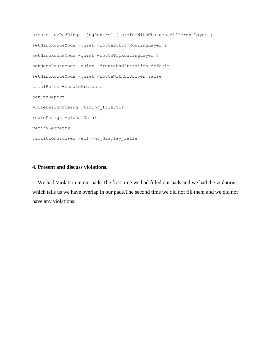```
sroute -noPadRings -jogControl { preferWithChanges differentLayer }
setNanoRouteMode -quiet -routeBottomRoutingLayer 1
setNanoRouteMode -quiet -routeTopRoutingLayer 8
setNanoRouteMode -quiet -drouteEndIteration default
setNanoRouteMode -quiet -routeWithSiDriven false
trialRoute -handlePreroute
setCteReport
writeDesignTiming .timing_file.tif
routeDesign -globalDetail
verifyGeometry
violationBrowser -all -no_display_false
```
### **4. Present and discuss violations.**

 We had Violation in our pads.The first time we had filled our pads and we had the violation which tells us we have overlap in our pads.The second time we did not fill them and we did not have any violations.